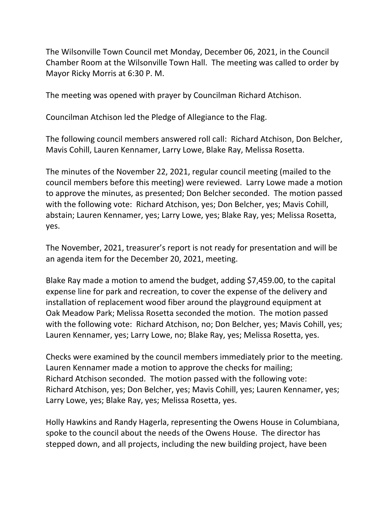The Wilsonville Town Council met Monday, December 06, 2021, in the Council Chamber Room at the Wilsonville Town Hall. The meeting was called to order by Mayor Ricky Morris at 6:30 P. M.

The meeting was opened with prayer by Councilman Richard Atchison.

Councilman Atchison led the Pledge of Allegiance to the Flag.

The following council members answered roll call: Richard Atchison, Don Belcher, Mavis Cohill, Lauren Kennamer, Larry Lowe, Blake Ray, Melissa Rosetta.

The minutes of the November 22, 2021, regular council meeting (mailed to the council members before this meeting) were reviewed. Larry Lowe made a motion to approve the minutes, as presented; Don Belcher seconded. The motion passed with the following vote: Richard Atchison, yes; Don Belcher, yes; Mavis Cohill, abstain; Lauren Kennamer, yes; Larry Lowe, yes; Blake Ray, yes; Melissa Rosetta, yes.

The November, 2021, treasurer's report is not ready for presentation and will be an agenda item for the December 20, 2021, meeting.

Blake Ray made a motion to amend the budget, adding \$7,459.00, to the capital expense line for park and recreation, to cover the expense of the delivery and installation of replacement wood fiber around the playground equipment at Oak Meadow Park; Melissa Rosetta seconded the motion. The motion passed with the following vote: Richard Atchison, no; Don Belcher, yes; Mavis Cohill, yes; Lauren Kennamer, yes; Larry Lowe, no; Blake Ray, yes; Melissa Rosetta, yes.

Checks were examined by the council members immediately prior to the meeting. Lauren Kennamer made a motion to approve the checks for mailing; Richard Atchison seconded. The motion passed with the following vote: Richard Atchison, yes; Don Belcher, yes; Mavis Cohill, yes; Lauren Kennamer, yes; Larry Lowe, yes; Blake Ray, yes; Melissa Rosetta, yes.

Holly Hawkins and Randy Hagerla, representing the Owens House in Columbiana, spoke to the council about the needs of the Owens House. The director has stepped down, and all projects, including the new building project, have been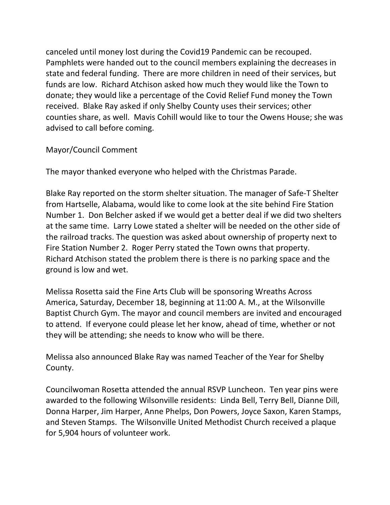canceled until money lost during the Covid19 Pandemic can be recouped. Pamphlets were handed out to the council members explaining the decreases in state and federal funding. There are more children in need of their services, but funds are low. Richard Atchison asked how much they would like the Town to donate; they would like a percentage of the Covid Relief Fund money the Town received. Blake Ray asked if only Shelby County uses their services; other counties share, as well. Mavis Cohill would like to tour the Owens House; she was advised to call before coming.

## Mayor/Council Comment

The mayor thanked everyone who helped with the Christmas Parade.

Blake Ray reported on the storm shelter situation. The manager of Safe-T Shelter from Hartselle, Alabama, would like to come look at the site behind Fire Station Number 1. Don Belcher asked if we would get a better deal if we did two shelters at the same time. Larry Lowe stated a shelter will be needed on the other side of the railroad tracks. The question was asked about ownership of property next to Fire Station Number 2. Roger Perry stated the Town owns that property. Richard Atchison stated the problem there is there is no parking space and the ground is low and wet.

Melissa Rosetta said the Fine Arts Club will be sponsoring Wreaths Across America, Saturday, December 18, beginning at 11:00 A. M., at the Wilsonville Baptist Church Gym. The mayor and council members are invited and encouraged to attend. If everyone could please let her know, ahead of time, whether or not they will be attending; she needs to know who will be there.

Melissa also announced Blake Ray was named Teacher of the Year for Shelby County.

Councilwoman Rosetta attended the annual RSVP Luncheon. Ten year pins were awarded to the following Wilsonville residents: Linda Bell, Terry Bell, Dianne Dill, Donna Harper, Jim Harper, Anne Phelps, Don Powers, Joyce Saxon, Karen Stamps, and Steven Stamps. The Wilsonville United Methodist Church received a plaque for 5,904 hours of volunteer work.